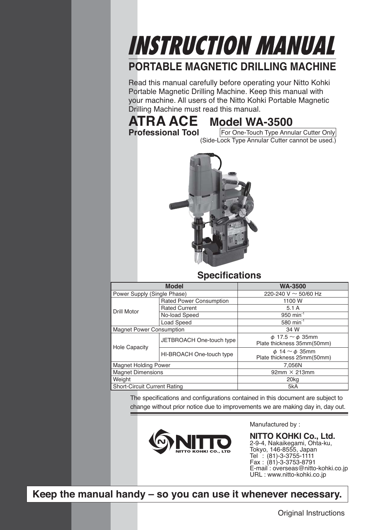## INSTRUCTION MANUAL

### **PORTABLE MAGNETIC DRILLING MACHINE**

Read this manual carefully before operating your Nitto Kohki Portable Magnetic Drilling Machine. Keep this manual with your machine. All users of the Nitto Kohki Portable Magnetic Drilling Machine must read this manual.

### **ATRA ACE Model WA-3500**<br>**Professional Tool For One-Touch Type Annu**

**Profession Cone-Touch Type Annular Cutter Only** (Side-Lock Type Annular Cutter cannot be used.)



### **Specifications**

| <b>Model</b>                        |                                | <b>WA-3500</b>               |
|-------------------------------------|--------------------------------|------------------------------|
| Power Supply (Single Phase)         |                                | 220-240 V $\sim$ 50/60 Hz    |
|                                     | <b>Rated Power Consumption</b> | 1100 W                       |
| <b>Drill Motor</b>                  | <b>Rated Current</b>           | 5.1A                         |
|                                     | No-load Speed                  | 950 min <sup>-1</sup>        |
|                                     | Load Speed                     | 580 min <sup>-1</sup>        |
| <b>Magnet Power Consumption</b>     |                                | 34 W                         |
|                                     | JETBROACH One-touch type       | $\phi$ 17.5 $\sim \phi$ 35mm |
| <b>Hole Capacity</b>                |                                | Plate thickness 35mm(50mm)   |
|                                     | HI-BROACH One-touch type       | $\phi$ 14 $\sim \phi$ 35mm   |
|                                     |                                | Plate thickness 25mm(50mm)   |
| <b>Magnet Holding Power</b>         |                                | 7,056N                       |
| <b>Magnet Dimensions</b>            |                                | $92mm \times 213mm$          |
| Weight                              |                                | 20 <sub>kg</sub>             |
| <b>Short-Circuit Current Rating</b> |                                | 5kA                          |

The specifications and configurations contained in this document are subject to change without prior notice due to improvements we are making day in, day out.



Manufactured by :

**NITTO KOHKI Co., Ltd.** 2-9-4, Nakaikegami, Ohta-ku, Tokyo, 146-8555, Japan Tel : (81)-3-3755-1111 Fax : (81)-3-3753-8791 E-mail : overseas@nitto-kohki.co.jp URL : www.nitto-kohki.co.jp

**Keep the manual handy – so you can use it whenever necessary.**

Original Instructions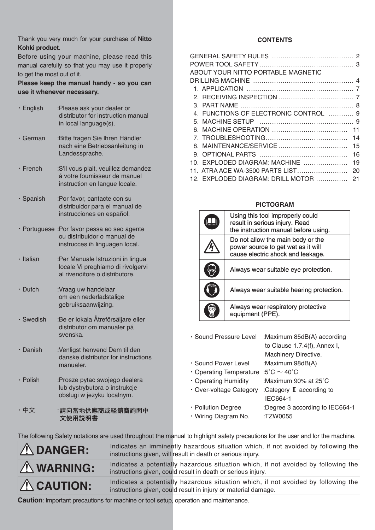Thank you very much for your purchase of **Nitto Kohki product.**

Before using your machine, please read this manual carefully so that you may use it properly to get the most out of it.

**Please keep the manual handy - so you can use it whenever necessary.**

| $\cdot$ English | :Please ask your dealer or<br>distributor for instruction manual<br>in local language(s).                     |
|-----------------|---------------------------------------------------------------------------------------------------------------|
| ∙ German        | :Bitte fragen Sie Ihren Händler<br>nach eine Betriebsanleitung in<br>Landessprache.                           |
| $\cdot$ French  | :S'il vous plait, veuillez demandez<br>á votre foumisseur de manuel<br>instruction en langue locale.          |
| · Spanish       | :Por favor, cantacte con su<br>distribuidor para el manual de<br>instrucciones en español.                    |
|                 | · Portuguese : Por favor pessa ao seo agente<br>ou distribuidor o manual de<br>instrucces ih linguagen local. |
| · Italian       | :Per Manuale Istruzioni in lingua<br>locale Vi preghiamo di rivolgervi<br>al rivenditore o distributore.      |
| $\cdot$ Dutch   | :Vraag uw handelaar<br>om een nederladstalige<br>gebruiksaanwijzing.                                          |
| $\cdot$ Swedish | :Be er lokala Åtreförsäljare eller<br>distributör om manualer pá<br>svenska.                                  |
| $\cdot$ Danish  | :Venligst henvend Dem til den<br>danske distributør for instructions<br>manualer.                             |
| $\cdot$ Polish  | :Prosze pytac swojego dealera<br>lub dystrybutora o instrukcje<br>obslugi w jezyku localnym.                  |
| ・中文             | :請向當地供應商或経銷商詢問中<br>文使用説明書                                                                                     |

### **CONTENTS**

|     | ABOUT YOUR NITTO PORTABLE MAGNETIC    |     |
|-----|---------------------------------------|-----|
|     |                                       |     |
|     |                                       |     |
|     |                                       |     |
|     |                                       |     |
|     | 4. FUNCTIONS OF ELECTRONIC CONTROL  9 |     |
|     |                                       |     |
|     |                                       |     |
|     |                                       | 14  |
|     |                                       | 15  |
|     |                                       | -16 |
| 10. | EXPLODED DIAGRAM: MACHINE             | 19  |
|     | 11. ATRA ACE WA-3500 PARTS LIST       | 20  |
|     | 12. EXPLODED DIAGRAM: DRILL MOTOR     | 21  |
|     |                                       |     |

### **PICTOGRAM**

| Using this tool improperly could<br>result in serious injury. Read<br>the instruction manual before using.   |
|--------------------------------------------------------------------------------------------------------------|
| Do not allow the main body or the<br>power source to get wet as it will<br>cause electric shock and leakage. |
| Always wear suitable eye protection.                                                                         |
| Always wear suitable hearing protection.                                                                     |
| Always wear respiratory protective<br>equipment (PPE).                                                       |

・Sound Pressure Level :Maximum 85dB(A) according to Clause 1.7.4(f), Annex I, Machinery Directive. ・Sound Power Level :Maximum 98dB(A)  $\cdot$  Operating Temperature :5°C  $\sim$  40°C ・Operating Humidity :Maximum 90% at 25˚C ・Over-voltage Category :Category **Ⅱ** according to IEC664-1 ・Pollution Degree :Degree 3 according to IEC664-1 ・Wiring Diagram No. :TZW0055

The following Safety notations are used throughout the manual to highlight safety precautions for the user and for the machine.

| $\Lambda$ DANGER:  | Indicates an imminently hazardous situation which, if not avoided by following the<br>instructions given, will result in death or serious injury.    |
|--------------------|------------------------------------------------------------------------------------------------------------------------------------------------------|
| $\Lambda$ WARNING: | Indicates a potentially hazardous situation which, if not avoided by following the<br>instructions given, could result in death or serious injury.   |
| $\Lambda$ CAUTION: | Indicates a potentially hazardous situation which, if not avoided by following the<br>instructions given, could result in injury or material damage. |

**Caution**: Important precautions for machine or tool setup, operation and maintenance.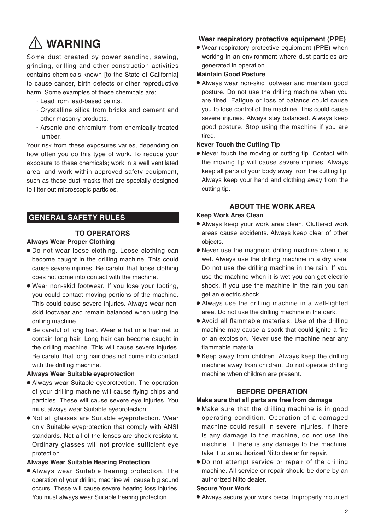### **WARNING**

Some dust created by power sanding, sawing, grinding, drilling and other construction activities contains chemicals known [to the State of California] to cause cancer, birth defects or other reproductive harm. Some examples of these chemicals are;

- ・Lead from lead-based paints.
- ・ Crystalline silica from bricks and cement and other masonry products.
- ・ Arsenic and chromium from chemically-treated lumber.

Your risk from these exposures varies, depending on how often you do this type of work. To reduce your exposure to these chemicals; work in a well ventilated area, and work within approved safety equipment, such as those dust masks that are specially designed to filter out microscopic particles.

### **GENERAL SAFETY RULES**

### **TO OPERATORS**

### **Always Wear Proper Clothing**

- Do not wear loose clothing. Loose clothing can become caught in the drilling machine. This could cause severe injuries. Be careful that loose clothing does not come into contact with the machine.
- Wear non-skid footwear. If you lose your footing, you could contact moving portions of the machine. This could cause severe injuries. Always wear nonskid footwear and remain balanced when using the drilling machine.
- Be careful of long hair. Wear a hat or a hair net to contain long hair. Long hair can become caught in the drilling machine. This will cause severe injuries. Be careful that long hair does not come into contact with the drilling machine.

### **Always Wear Suitable eyeprotection**

- Always wear Suitable eyeprotection. The operation of your drilling machine will cause flying chips and particles. These will cause severe eye injuries. You must always wear Suitable eyeprotection.
- Not all glasses are Suitable eyeprotection. Wear only Suitable eyeprotection that comply with ANSI standards. Not all of the lenses are shock resistant. Ordinary glasses will not provide sufficient eye protection.

### **Always Wear Suitable Hearing Protection**

● Always wear Suitable hearing protection. The operation of your drilling machine will cause big sound occurs. These will cause severe hearing loss injuries. You must always wear Suitable hearing protection.

### **Wear respiratory protective equipment (PPE)**

● Wear respiratory protective equipment (PPE) when working in an environment where dust particles are generated in operation.

### **Maintain Good Posture**

● Always wear non-skid footwear and maintain good posture. Do not use the drilling machine when you are tired. Fatigue or loss of balance could cause you to lose control of the machine. This could cause severe injuries. Always stay balanced. Always keep good posture. Stop using the machine if you are tired.

#### **Never Touch the Cutting Tip**

● Never touch the moving or cutting tip. Contact with the moving tip will cause severe injuries. Always keep all parts of your body away from the cutting tip. Always keep your hand and clothing away from the cutting tip.

### **ABOUT THE WORK AREA**

#### **Keep Work Area Clean**

- Always keep your work area clean. Cluttered work areas cause accidents. Always keep clear of other objects.
- Never use the magnetic drilling machine when it is wet. Always use the drilling machine in a dry area. Do not use the drilling machine in the rain. If you use the machine when it is wet you can get electric shock. If you use the machine in the rain you can get an electric shock.
- Always use the drilling machine in a well-lighted area. Do not use the drilling machine in the dark.
- Avoid all flammable materials. Use of the drilling machine may cause a spark that could ignite a fire or an explosion. Never use the machine near any flammable material.
- Keep away from children. Always keep the drilling machine away from children. Do not operate drilling machine when children are present.

### **BEFORE OPERATION**

#### **Make sure that all parts are free from damage**

- Make sure that the drilling machine is in good operating condition. Operation of a damaged machine could result in severe injuries. If there is any damage to the machine, do not use the machine. If there is any damage to the machine, take it to an authorized Nitto dealer for repair.
- Do not attempt service or repair of the drilling machine. All service or repair should be done by an authorized Nitto dealer.

#### **Secure Your Work**

● Always secure your work piece. Improperly mounted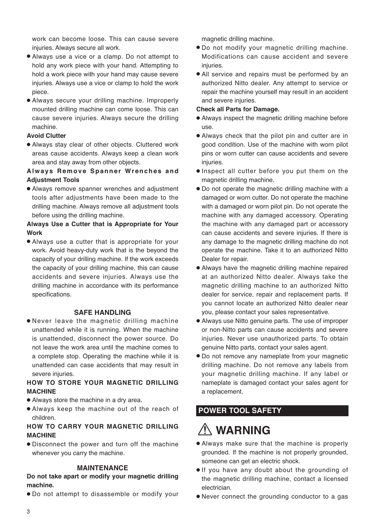work can become loose. This can cause severe injuries. Always secure all work.

- Always use a vice or a clamp. Do not attempt to hold any work piece with your hand. Attempting to hold a work piece with your hand may cause severe injuries. Always use a vice or clamp to hold the work piece.
- Always secure your drilling machine. Improperly mounted drilling machine can come loose. This can cause severe injuries. Always secure the drilling machine.

### **Avoid Clutter**

● Always stay clear of other objects. Cluttered work areas cause accidents. Always keep a clean work area and stay away from other objects.

### **Always Remove Spanner Wrenches and Adjustment Tools**

● Always remove spanner wrenches and adjustment tools after adjustments have been made to the drilling machine. Always remove all adjustment tools before using the drilling machine.

### **Always Use a Cutter that is Appropriate for Your Work**

● Always use a cutter that is appropriate for your work. Avoid heavy-duty work that is the beyond the capacity of your drilling machine. If the work exceeds the capacity of your drilling machine, this can cause accidents and severe injuries. Always use the drilling machine in accordance with its performance specifications.

#### **SAFE HANDLING**

● Never leave the magnetic drilling machine unattended while it is running. When the machine is unattended, disconnect the power source. Do not leave the work area until the machine comes to a complete stop. Operating the machine while it is unattended can case accidents that may result in severe injuries.

### **HOW TO STORE YOUR MAGNETIC DRILLING MACHINE**

- Always store the machine in a dry area.
- Always keep the machine out of the reach of children.

### **HOW TO CARRY YOUR MAGNETIC DRILLING MACHINE**

● Disconnect the power and turn off the machine whenever you carry the machine.

### **MAINTENANCE**

### **Do not take apart or modify your magnetic drilling machine.**

● Do not attempt to disassemble or modify your

magnetic drilling machine.

- Do not modify your magnetic drilling machine. Modifications can cause accident and severe iniuries.
- All service and repairs must be performed by an authorized Nitto dealer. Any attempt to service or repair the machine yourself may result in an accident and severe injuries.

#### **Check all Parts for Damage.**

- Always inspect the magnetic drilling machine before use.
- Always check that the pilot pin and cutter are in good condition. Use of the machine with worn pilot pins or worn cutter can cause accidents and severe injuries.
- Inspect all cutter before you put them on the magnetic drilling machine.
- Do not operate the magnetic drilling machine with a damaged or worn cutter. Do not operate the machine with a damaged or worn pilot pin. Do not operate the machine with any damaged accessory. Operating the machine with any damaged part or accessory can cause accidents and severe injuries. If there is any damage to the magnetic drilling machine do not operate the machine. Take it to an authorized Nitto Dealer for repair.
- Always have the magnetic drilling machine repaired at an authorized Nitto dealer. Always take the magnetic drilling machine to an authorized Nitto dealer for service, repair and replacement parts. If you cannot locate an authorized Nitto dealer near you, please contact your sales representative.
- Always use Nitto genuine parts. The use of improper or non-Nitto parts can cause accidents and severe injuries. Never use unauthorized parts. To obtain genuine Nitto parts, contact your sales agent.
- Do not remove any nameplate from your magnetic drilling machine. Do not remove any labels from your magnetic drilling machine. If any label or nameplate is damaged contact your sales agent for a replacement.

### **POWER TOOL SAFETY**

### **WARNING**

- Always make sure that the machine is properly grounded. If the machine is not properly grounded, someone can get an electric shock.
- If you have any doubt about the grounding of the magnetic drilling machine, contact a licensed electrician.
- Never connect the grounding conductor to a gas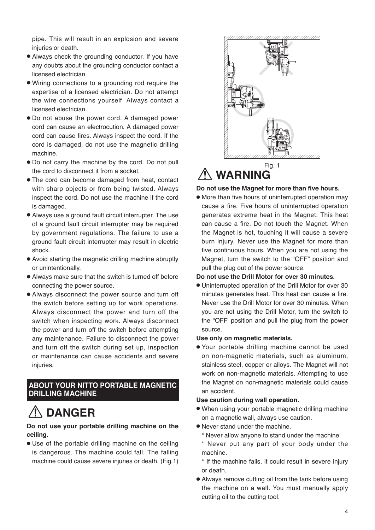pipe. This will result in an explosion and severe injuries or death.

- Always check the grounding conductor. If you have any doubts about the grounding conductor contact a licensed electrician.
- Wiring connections to a grounding rod require the expertise of a licensed electrician. Do not attempt the wire connections yourself. Always contact a licensed electrician.
- Do not abuse the power cord. A damaged power cord can cause an electrocution. A damaged power cord can cause fires. Always inspect the cord. If the cord is damaged, do not use the magnetic drilling machine.
- Do not carry the machine by the cord. Do not pull the cord to disconnect it from a socket.
- The cord can become damaged from heat, contact with sharp objects or from being twisted. Always inspect the cord. Do not use the machine if the cord is damaged.
- Always use a ground fault circuit interrupter. The use of a ground fault circuit interrupter may be required by government regulations. The failure to use a ground fault circuit interrupter may result in electric shock.
- Avoid starting the magnetic drilling machine abruptly or unintentionally.
- Always make sure that the switch is turned off before connecting the power source.
- Always disconnect the power source and turn off the switch before setting up for work operations. Always disconnect the power and turn off the switch when inspecting work. Always disconnect the power and turn off the switch before attempting any maintenance. Failure to disconnect the power and turn off the switch during set up, inspection or maintenance can cause accidents and severe injuries.

### **ABOUT YOUR NITTO PORTABLE MAGNETIC DRILLING MACHINE**

### **DANGER**

### **Do not use your portable drilling machine on the ceiling.**

● Use of the portable drilling machine on the ceiling is dangerous. The machine could fall. The falling machine could cause severe injuries or death. (Fig.1)



### **WARNING**

#### **Do not use the Magnet for more than five hours.**

● More than five hours of uninterrupted operation may cause a fire. Five hours of uninterrupted operation generates extreme heat in the Magnet. This heat can cause a fire. Do not touch the Magnet. When the Magnet is hot, touching it will cause a severe burn injury. Never use the Magnet for more than five continuous hours. When you are not using the Magnet, turn the switch to the "OFF" position and pull the plug out of the power source.

#### **Do not use the Drill Motor for over 30 minutes.**

● Uninterrupted operation of the Drill Motor for over 30 minutes generates heat. This heat can cause a fire. Never use the Drill Motor for over 30 minutes. When you are not using the Drill Motor, turn the switch to the "OFF' position and pull the plug from the power source.

#### **Use only on magnetic materials.**

● Your portable drilling machine cannot be used on non-magnetic materials, such as aluminum, stainless steel, copper or alloys. The Magnet will not work on non-magnetic materials. Attempting to use the Magnet on non-magnetic materials could cause an accident.

#### **Use caution during wall operation.**

- When using your portable magnetic drilling machine on a magnetic wall, always use caution.
- Never stand under the machine.
	- \* Never allow anyone to stand under the machine.
	- \* Never put any part of your body under the machine.
	- \* If the machine falls, it could result in severe injury or death.
- Always remove cutting oil from the tank before using the machine on a wall. You must manually apply cutting oil to the cutting tool.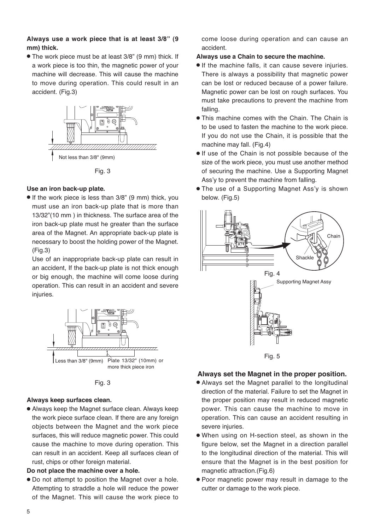### **Always use a work piece that is at least 3/8" (9 mm) thick.**

● The work piece must be at least 3/8" (9 mm) thick. If a work piece is too thin, the magnetic power of your machine will decrease. This will cause the machine to move during operation. This could result in an accident. (Fig.3)



Fig. 3

#### **Use an iron back-up plate.**

● If the work piece is less than 3/8" (9 mm) thick, you must use an iron back-up plate that is more than 13/32"(10 mm ) in thickness. The surface area of the iron back-up plate must he greater than the surface area of the Magnet. An appropriate back-up plate is necessary to boost the holding power of the Magnet. (Fig.3)

 Use of an inappropriate back-up plate can result in an accident, If the back-up plate is not thick enough or big enough, the machine will come loose during operation. This can result in an accident and severe injuries.



Fig. 3

### **Always keep surfaces clean.**

● Always keep the Magnet surface clean. Always keep the work piece surface clean. If there are any foreign objects between the Magnet and the work piece surfaces, this will reduce magnetic power. This could cause the machine to move during operation. This can result in an accident. Keep all surfaces clean of rust, chips or other foreign material.

#### **Do not place the machine over a hole.**

● Do not attempt to position the Magnet over a hole. Attempting to straddle a hole will reduce the power of the Magnet. This will cause the work piece to

come loose during operation and can cause an accident.

### **Always use a Chain to secure the machine.**

- If the machine falls, it can cause severe injuries. There is always a possibility that magnetic power can be lost or reduced because of a power failure. Magnetic power can be lost on rough surfaces. You must take precautions to prevent the machine from falling.
- This machine comes with the Chain. The Chain is to be used to fasten the machine to the work piece. If you do not use the Chain, it is possible that the machine may fall. (Fig.4)
- If use of the Chain is not possible because of the size of the work piece, you must use another method of securing the machine. Use a Supporting Magnet Ass'y to prevent the machine from falling.
- The use of a Supporting Magnet Ass'y is shown below. (Fig.5)



### **Always set the Magnet in the proper position.**

- Always set the Magnet parallel to the longitudinal direction of the material. Failure to set the Magnet in the proper position may result in reduced magnetic power. This can cause the machine to move in operation. This can cause an accident resulting in severe injuries.
- When using on H-section steel, as shown in the figure below, set the Magnet in a direction parallel to the longitudinal direction of the material. This will ensure that the Magnet is in the best position for magnetic attraction.(Fig.6)
- Poor magnetic power may result in damage to the cutter or damage to the work piece.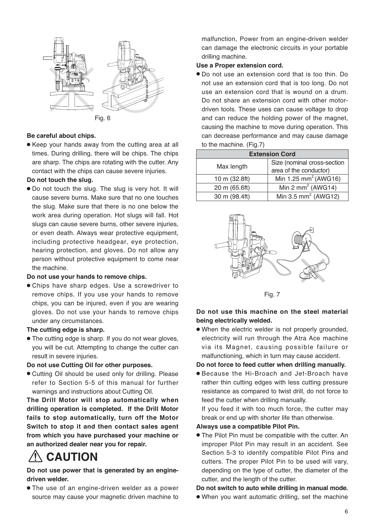



### **Be careful about chips.**

● Keep your hands away from the cutting area at all times. During drilling, there will be chips. The chips are sharp. The chips are rotating with the cutter. Any contact with the chips can cause severe injuries.

#### **Do not touch the slug.**

● Do not touch the slug. The slug is very hot. It will cause severe burns. Make sure that no one touches the slug. Make sure that there is no one below the work area during operation. Hot slugs will fall. Hot slugs can cause severe burns, other severe injuries, or even death. Always wear protective equipment, including protective headgear, eye protection, hearing protection, and gloves. Do not allow any person without protective equipment to come near the machine.

#### **Do not use your hands to remove chips.**

● Chips have sharp edges. Use a screwdriver to remove chips. If you use your hands to remove chips, you can be injured, even if you are wearing gloves. Do not use your hands to remove chips under any circumstances.

### **The cutting edge is sharp.**

● The cutting edge is sharp. If you do not wear gloves, you will be cut. Attempting to change the cutter can result in severe injuries.

#### **Do not use Cutting Oil for other purposes.**

● Cutting Oil should be used only for drilling. Please refer to Section 5-5 of this manual for further warnings and instructions about Cutting Oil.

**The Drill Motor will stop automatically when drilling operation is completed. If the Drill Motor fails to stop automatically, turn off the Motor Switch to stop it and then contact sales agent from which you have purchased your machine or an authorized dealer near you for repair.**

### **CAUTION**

### **Do not use power that is generated by an enginedriven welder.**

● The use of an engine-driven welder as a power source may cause your magnetic driven machine to malfunction, Power from an engine-driven welder can damage the electronic circuits in your portable drilling machine.

### **Use a Proper extension cord.**

● Do not use an extension cord that is too thin. Do not use an extension cord that is too long. Do not use an extension cord that is wound on a drum. Do not share an extension cord with other motordriven tools. These uses can cause voltage to drop and can reduce the holding power of the magnet, causing the machine to move during operation. This can decrease performance and may cause damage to the machine. (Fig.7)

| <b>Extension Cord</b> |                                  |  |
|-----------------------|----------------------------------|--|
| Max length            | Size (nominal cross-section      |  |
|                       | area of the conductor)           |  |
| 10 m (32.8ft)         | Min 1.25 mm <sup>2</sup> (AWG16) |  |
| 20 m (65.6ft)         | Min 2 mm <sup>2</sup> (AWG14)    |  |
| 30 m (98.4ft)         | Min 3.5 mm <sup>2</sup> (AWG12)  |  |



Fig. 7

### **Do not use this machine on the steel material being electrically welded.**

● When the electric welder is not properly grounded, electricity will run through the Atra Ace machine via its Magnet, causing possible failure or malfunctioning, which in turn may cause accident.

#### **Do not force to feed cutter when drilling manually.**

● Because the Hi-Broach and Jet-Broach have rather thin cutting edges with less cutting pressure resistance as compared to twist drill, do not force to feed the cutter when drilling manually.

 If you feed it with too much force, the cutter may break or end up with shorter life than otherwise.

#### **Always use a compatible Pilot Pin.**

● The Pilot Pin must be compatible with the cutter. An improper Pilot Pin may result in an accident. See Section 5-3 to identify compatible Pilot Pins and cutters. The proper Pilot Pin to be used will vary, depending on the type of cutter, the diameter of the cutter, and the length of the cutter.

#### **Do not switch to auto while drilling in manual mode.**

● When you want automatic drilling, set the machine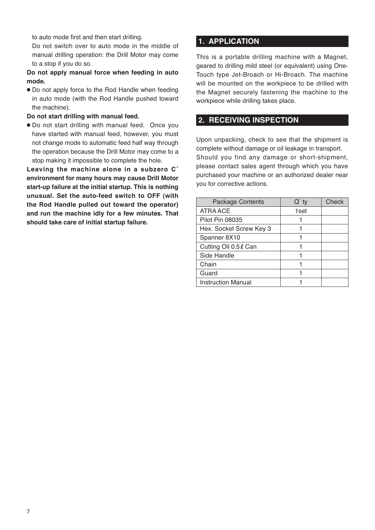to auto mode first and then start drilling.

 Do not switch over to auto mode in the middle of manual drilling operation: the Drill Motor may come to a stop if you do so.

### **Do not apply manual force when feeding in auto mode.**

● Do not apply force to the Rod Handle when feeding in auto mode (with the Rod Handle pushed toward the machine).

### **Do not start drilling with manual feed.**

● Do not start drilling with manual feed. Once you have started with manual feed, however, you must not change mode to automatic feed half way through the operation because the Drill Motor may come to a stop making it impossible to complete the hole.

**Leaving the machine alone in a subzero C˚ environment for many hours may cause Drill Motor start-up failure at the initial startup. This is nothing unusual. Set the auto-feed switch to OFF (with the Rod Handle pulled out toward the operator) and run the machine idly for a few minutes. That should take care of initial startup failure.** 

### **1. APPLICATION**

This is a portable drilling machine with a Magnet, geared to drilling mild steel (or equivalent) using One-Touch type Jet-Broach or Hi-Broach. The machine will be mounted on the workpiece to be drilled with the Magnet securely fastening the machine to the workpiece while drilling takes place.

### **2. RECEIVING INSPECTION**

Upon unpacking, check to see that the shipment is complete without damage or oil leakage in transport. Should you find any damage or short-shipment, please contact sales agent through which you have purchased your machine or an authorized dealer near you for corrective actions.

| <b>Package Contents</b>   | $Q'$ ty | Check |
|---------------------------|---------|-------|
| ATRA ACE                  | 1set    |       |
| <b>Pilot Pin 08035</b>    |         |       |
| Hex. Socket Screw Key 3   |         |       |
| Spanner 8X10              |         |       |
| Cutting Oil 0.5 & Can     |         |       |
| Side Handle               |         |       |
| Chain                     |         |       |
| Guard                     |         |       |
| <b>Instruction Manual</b> |         |       |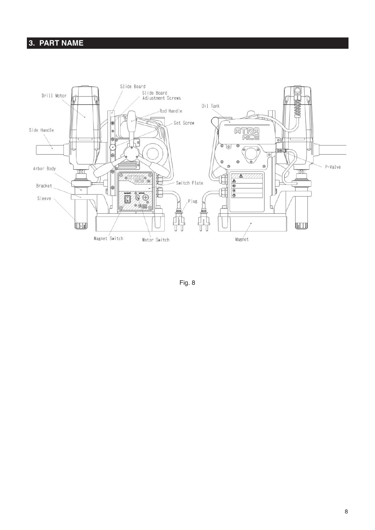### **3. PART NAME**



Fig. 8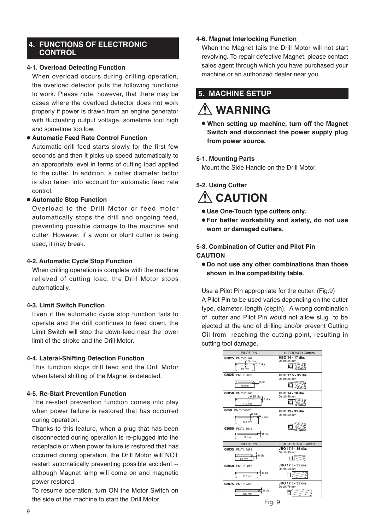### **4. FUNCTIONS OF ELECTRONIC CONTROL**

### **4-1. Overload Detecting Function**

When overload occurs during drilling operation, the overload detector puts the following functions to work. Please note, however, that there may be cases where the overload detector does not work properly if power is drawn from an engine generator with fluctuating output voltage, sometime tool high and sometime too low.

### ● **Automatic Feed Rate Control Function**

Automatic drill feed starts slowly for the first few seconds and then it picks up speed automatically to an appropriate level in terms of cutting load applied to the cutter. In addition, a cutter diameter factor is also taken into account for automatic feed rate control.

### ● **Automatic Stop Function**

Overload to the Drill Motor or feed motor automatically stops the drill and ongoing feed, preventing possible damage to the machine and cutter. However, if a worn or blunt cutter is being used, it may break.

### **4-2. Automatic Cycle Stop Function**

When drilling operation is complete with the machine relieved of cutting load, the Drill Motor stops automatically.

### **4-3. Limit Switch Function**

Even if the automatic cycle stop function fails to operate and the drill continues to feed down, the Limit Switch will stop the down-feed near the lower limit of the stroke and the Drill Motor.

### **4-4. Lateral-Shifting Detection Function**

This function stops drill feed and the Drill Motor when lateral shifting of the Magnet is detected.

### **4-5. Re-Start Prevention Function**

The re-start prevention function comes into play when power failure is restored that has occurred during operation.

Thanks to this feature, when a plug that has been disconnected during operation is re-plugged into the receptacle or when power failure is restored that has occurred during operation, the Drill Motor will NOT restart automatically preventing possible accident - although Magnet lamp will come on and magnetic power restored.

To resume operation, turn ON the Motor Switch on the side of the machine to start the Drill Motor.

### **4-6. Magnet Interlocking Function**

When the Magnet fails the Drill Motor will not start revolving. To repair defective Magnet, please contact sales agent through which you have purchased your machine or an authorized dealer near you.

### **5. MACHINE SETUP**

### **WARNING**

● **When setting up machine, turn off the Magnet Switch and disconnect the power supply plug from power source.**

### **5-1. Mounting Parts**

Mount the Side Handle on the Drill Motor.

### **5-2. Using Cutter**

### **CAUTION**

- **Use One-Touch type cutters only.**
- **For better workability and safety, do not use worn or damaged cutters.**

### **5-3. Combination of Cutter and Pilot Pin CAUTION**

● **Do not use any other combinations than those shown in the compatibility table.**

Use a Pilot Pin appropriate for the cutter. (Fig.9) A Pilot Pin to be used varies depending on the cutter type, diameter, length (depth). A wrong combination of cutter and Pilot Pin would not allow slug to be ejected at the end of drilling and/or prevent Cutting Oil from reaching the cutting point, resulting in cutting tool damage.

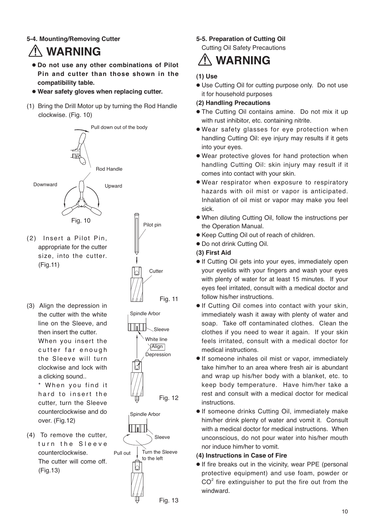### **5-4. Mounting/Removing Cutter**

### **WARNING**

- ● **Do not use any other combinations of Pilot Pin and cutter than those shown in the compatibility table.**
- ● **Wear safety gloves when replacing cutter.**
- (1) Bring the Drill Motor up by turning the Rod Handle clockwise. (Fig. 10)



- (2) Insert a Pilot Pin, appropriate for the cutter size, into the cutter. (Fig.11)
- (3) Align the depression in the cutter with the white line on the Sleeve, and then insert the cutter. When you insert the cutter far enough the Sleeve will turn clockwise and lock with a clicking sound..

\* When you find it hard to insert the cutter, turn the Sleeve counterclockwise and do over. (Fig.12)

(4) To remove the cutter, turn the Sleeve counterclockwise. The cutter will come off. (Fig.13)







### **5-5. Preparation of Cutting Oil**

Cutting Oil Safety Precautions

### **WARNING**

### **(1) Use**

● Use Cutting Oil for cutting purpose only. Do not use it for household purposes

### **(2) Handling Precautions**

- The Cutting Oil contains amine. Do not mix it up with rust inhibitor, etc. containing nitrite.
- Wear safety glasses for eye protection when handling Cutting Oil: eye injury may results if it gets into your eyes.
- Wear protective gloves for hand protection when handling Cutting Oil: skin injury may result if it comes into contact with your skin.
- Wear respirator when exposure to respiratory hazards with oil mist or vapor is anticipated. Inhalation of oil mist or vapor may make you feel sick.
- When diluting Cutting Oil, follow the instructions per the Operation Manual.
- Keep Cutting Oil out of reach of children.
- Do not drink Cutting Oil.

### **(3) First Aid**

- If Cutting Oil gets into your eyes, immediately open your eyelids with your fingers and wash your eyes with plenty of water for at least 15 minutes. If your eyes feel irritated, consult with a medical doctor and follow his/her instructions.
- If Cutting Oil comes into contact with your skin, immediately wash it away with plenty of water and soap. Take off contaminated clothes. Clean the clothes if you need to wear it again. If your skin feels irritated, consult with a medical doctor for medical instructions.
- If someone inhales oil mist or vapor, immediately take him/her to an area where fresh air is abundant and wrap up his/her body with a blanket, etc. to keep body temperature. Have him/her take a rest and consult with a medical doctor for medical instructions.
- If someone drinks Cutting Oil, immediately make him/her drink plenty of water and vomit it. Consult with a medical doctor for medical instructions. When unconscious, do not pour water into his/her mouth nor induce him/her to vomit.

### **(4) Instructions in Case of Fire**

● If fire breaks out in the vicinity, wear PPE (personal protective equipment) and use foam, powder or  $CO<sup>2</sup>$  fire extinguisher to put the fire out from the windward.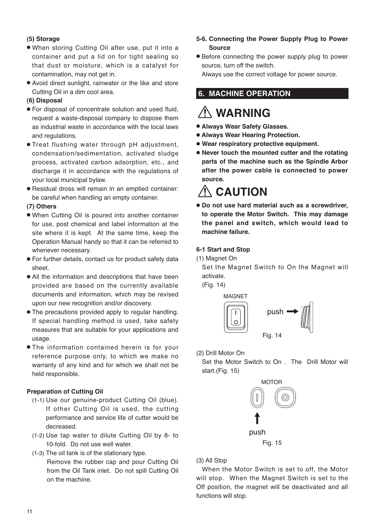### **(5) Storage**

- When storing Cutting Oil after use, put it into a container and put a lid on for tight sealing so that dust or moisture, which is a catalyst for contamination, may not get in.
- Avoid direct sunlight, rainwater or the like and store Cutting Oil in a dim cool area.

### **(6) Disposal**

- For disposal of concentrate solution and used fluid, request a waste-disposal company to dispose them as industrial waste in accordance with the local laws and regulations.
- Treat flushing water through pH adjustment, condensation/sedimentation, activated sludge process, activated carbon adsorption, etc., and discharge it in accordance with the regulations of your local municipal bylaw.
- Residual dross will remain in an emptied container: be careful when handling an empty container.

### **(7) Others**

- When Cutting Oil is poured into another container for use, post chemical and label information at the site where it is kept. At the same time, keep the Operation Manual handy so that it can be referred to whenever necessary.
- For further details, contact us for product safety data sheet.
- All the information and descriptions that have been provided are based on the currently available documents and information, which may be revised upon our new recognition and/or discovery.
- The precautions provided apply to regular handling. If special handling method is used, take safety measures that are suitable for your applications and usage.
- The information contained herein is for your reference purpose only, to which we make no warranty of any kind and for which we shall not be held responsible.

### **Preparation of Cutting Oil**

- (1-1) Use our genuine-product Cutting Oil (blue). If other Cutting Oil is used, the cutting performance and service life of cutter would be decreased.
- (1-2) Use tap water to dilute Cutting Oil by 8- to 10-fold. Do not use well water.
- (1-3) The oil tank is of the stationary type. Remove the rubber cap and pour Cutting Oil from the Oil Tank inlet. Do not spill Cutting Oil on the machine.
- **5-6. Connecting the Power Supply Plug to Power Source**
- Before connecting the power supply plug to power source, turn off the switch.

Always use the correct voltage for power source.

### **6. MACHINE OPERATION**

### **WARNING**

- ● **Always Wear Safety Glasses.**
- ● **Always Wear Hearing Protection.**
- ● **Wear respiratory protective equipment.**
- ● **Never touch the mounted cutter and the rotating parts of the machine such as the Spindle Arbor after the power cable is connected to power source.**

### **CAUTION**

● **Do not use hard material such as a screwdriver, to operate the Motor Switch. This may damage the panel and switch, which would lead to machine failure.**

### **6-1 Start and Stop**

(1) Magnet On

Set the Magnet Switch to On the Magnet will activate.

(Fig. 14)



(2) Drill Motor On

Set the Motor Switch to On . The Drill Motor will start.(Fig. 15)



### (3) All Stop

When the Motor Switch is set to off, the Motor will stop. When the Magnet Switch is set to the Off position, the magnet will be deactivated and all functions will stop.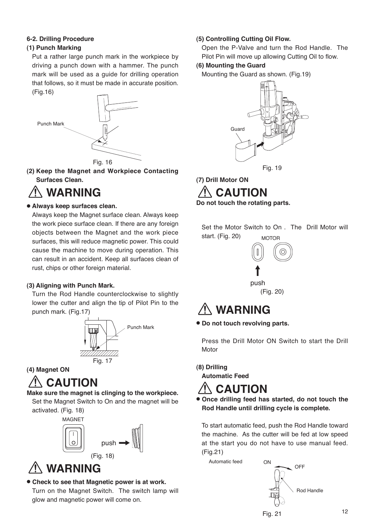### **6-2. Drilling Procedure**

### **(1) Punch Marking**

Put a rather large punch mark in the workpiece by driving a punch down with a hammer. The punch mark will be used as a guide for drilling operation that follows, so it must be made in accurate position.



**(2) Keep the Magnet and Workpiece Contacting Surfaces Clean.**

### **WARNING**

### ● **Always keep surfaces clean.**

Always keep the Magnet surface clean. Always keep the work piece surface clean. If there are any foreign objects between the Magnet and the work piece surfaces, this will reduce magnetic power. This could cause the machine to move during operation. This can result in an accident. Keep all surfaces clean of rust, chips or other foreign material.

### **(3) Aligning with Punch Mark.**

Turn the Rod Handle counterclockwise to slightly lower the cutter and align the tip of Pilot Pin to the punch mark. (Fig.17)



### **(4) Magnet ON**

### **CAUTION**

### **Make sure the magnet is clinging to the workpiece.**

Set the Magnet Switch to On and the magnet will be activated. (Fig. 18)



### **WARNING**

● **Check to see that Magnetic power is at work.** 

Turn on the Magnet Switch. The switch lamp will glow and magnetic power will come on.

### **(5) Controlling Cutting Oil Flow.**

Open the P-Valve and turn the Rod Handle. The Pilot Pin will move up allowing Cutting Oil to flow.

### **(6) Mounting the Guard**

Mounting the Guard as shown. (Fig.19)



**(7) Drill Motor ON**

**CAUTION Do not touch the rotating parts.**

Set the Motor Switch to On . The Drill Motor will start. (Fig. 20) MOTOR



### **WARNING**

● **Do not touch revolving parts.**

Press the Drill Motor ON Switch to start the Drill **Motor** 

**(8) Drilling Automatic Feed**



● **Once drilling feed has started, do not touch the Rod Handle until drilling cycle is complete.**

To start automatic feed, push the Rod Handle toward the machine. As the cutter will be fed at low speed at the start you do not have to use manual feed. (Fig.21)

Automatic feed

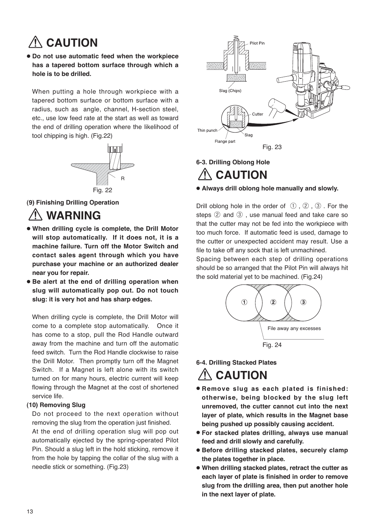### **CAUTION**

● **Do not use automatic feed when the workpiece has a tapered bottom surface through which a hole is to be drilled.**

When putting a hole through workpiece with a tapered bottom surface or bottom surface with a radius, such as angle, channel, H-section steel, etc., use low feed rate at the start as well as toward the end of drilling operation where the likelihood of tool chipping is high. (Fig.22)



**(9) Finishing Drilling Operation**

### **WARNING**

- **When drilling cycle is complete, the Drill Motor will stop automatically. If it does not, it is a machine failure. Turn off the Motor Switch and contact sales agent through which you have purchase your machine or an authorized dealer near you for repair.**
- **Be alert at the end of drilling operation when slug will automatically pop out. Do not touch slug: it is very hot and has sharp edges.**

When drilling cycle is complete, the Drill Motor will come to a complete stop automatically. Once it has come to a stop, pull the Rod Handle outward away from the machine and turn off the automatic feed switch. Turn the Rod Handle clockwise to raise the Drill Motor. Then promptly turn off the Magnet Switch. If a Magnet is left alone with its switch turned on for many hours, electric current will keep flowing through the Magnet at the cost of shortened service life.

### **(10) Removing Slug**

Do not proceed to the next operation without removing the slug from the operation just finished.

At the end of drilling operation slug will pop out automatically ejected by the spring-operated Pilot Pin. Should a slug left in the hold sticking, remove it from the hole by tapping the collar of the slug with a needle stick or something. (Fig.23)



### **6-3. Drilling Oblong Hole CAUTION**

### ● **Always drill oblong hole manually and slowly.**

Drill oblong hole in the order of  $(1)$ ,  $(2)$ ,  $(3)$ . For the steps ② and ③ , use manual feed and take care so that the cutter may not be fed into the workpiece with too much force. If automatic feed is used, damage to the cutter or unexpected accident may result. Use a file to take off any sock that is left unmachined.

Spacing between each step of drilling operations should be so arranged that the Pilot Pin will always hit the sold material yet to be machined. (Fig.24)



**6-4. Drilling Stacked Plates**

### **ALCAUTION**

- **Remove slug as each plated is finished: otherwise, being blocked by the slug left unremoved, the cutter cannot cut into the next layer of plate, which results in the Magnet base being pushed up possibly causing accident.**
- **For stacked plates drilling, always use manual feed and drill slowly and carefully.**
- **Before drilling stacked plates, securely clamp the plates together in place.**
- **When drilling stacked plates, retract the cutter as each layer of plate is finished in order to remove slug from the drilling area, then put another hole in the next layer of plate.**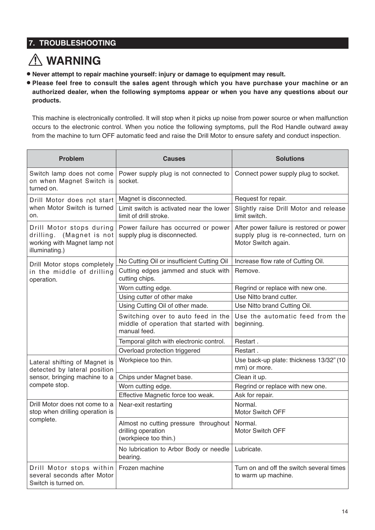### **7. TROUBLESHOOTING**

### **WARNING**

- **Never attempt to repair machine yourself: injury or damage to equipment may result.**
- **Please feel free to consult the sales agent through which you have purchase your machine or an authorized dealer, when the following symptoms appear or when you have any questions about our products.**

This machine is electronically controlled. It will stop when it picks up noise from power source or when malfunction occurs to the electronic control. When you notice the following symptoms, pull the Rod Handle outward away from the machine to turn OFF automatic feed and raise the Drill Motor to ensure safety and conduct inspection.

| Problem                                                                                                   | <b>Causes</b>                                                                               | <b>Solutions</b>                                                                                        |
|-----------------------------------------------------------------------------------------------------------|---------------------------------------------------------------------------------------------|---------------------------------------------------------------------------------------------------------|
| Switch lamp does not come<br>on when Magnet Switch is<br>turned on.                                       | Power supply plug is not connected to<br>socket.                                            | Connect power supply plug to socket.                                                                    |
| Drill Motor does not start                                                                                | Magnet is disconnected.                                                                     | Request for repair.                                                                                     |
| when Motor Switch is turned<br>on.                                                                        | Limit switch is activated near the lower<br>limit of drill stroke.                          | Slightly raise Drill Motor and release<br>limit switch.                                                 |
| Drill Motor stops during<br>(Magnet is not<br>drilling.<br>working with Magnet lamp not<br>illuminating.) | Power failure has occurred or power<br>supply plug is disconnected.                         | After power failure is restored or power<br>supply plug is re-connected, turn on<br>Motor Switch again. |
| Drill Motor stops completely                                                                              | No Cutting Oil or insufficient Cutting Oil                                                  | Increase flow rate of Cutting Oil.                                                                      |
| in the middle of drilling<br>operation.                                                                   | Cutting edges jammed and stuck with<br>cutting chips.                                       | Remove.                                                                                                 |
|                                                                                                           | Worn cutting edge.                                                                          | Regrind or replace with new one.                                                                        |
|                                                                                                           | Using cutter of other make                                                                  | Use Nitto brand cutter.                                                                                 |
|                                                                                                           | Using Cutting Oil of other made.                                                            | Use Nitto brand Cutting Oil.                                                                            |
|                                                                                                           | Switching over to auto feed in the<br>middle of operation that started with<br>manual feed. | Use the automatic feed from the<br>beginning.                                                           |
|                                                                                                           | Temporal glitch with electronic control.                                                    | Restart.                                                                                                |
|                                                                                                           | Overload protection triggered                                                               | Restart.                                                                                                |
| Lateral shifting of Magnet is<br>detected by lateral position                                             | Workpiece too thin.                                                                         | Use back-up plate: thickness 13/32" (10<br>mm) or more.                                                 |
| sensor, bringing machine to a                                                                             | Chips under Magnet base.                                                                    | Clean it up.                                                                                            |
| compete stop.                                                                                             | Worn cutting edge.                                                                          | Regrind or replace with new one.                                                                        |
|                                                                                                           | Effective Magnetic force too weak.                                                          | Ask for repair.                                                                                         |
| Drill Motor does not come to a<br>stop when drilling operation is<br>complete.                            | Near-exit restarting                                                                        | Normal.<br>Motor Switch OFF                                                                             |
|                                                                                                           | Almost no cutting pressure throughout<br>drilling operation<br>(workpiece too thin.)        | Normal.<br>Motor Switch OFF                                                                             |
|                                                                                                           | No lubrication to Arbor Body or needle<br>bearing.                                          | Lubricate.                                                                                              |
| Drill Motor stops within<br>several seconds after Motor<br>Switch is turned on.                           | Frozen machine                                                                              | Turn on and off the switch several times<br>to warm up machine.                                         |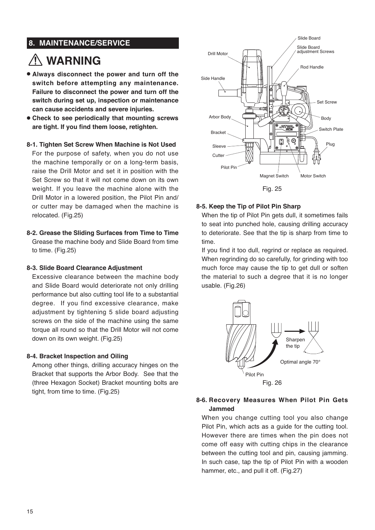### **8. MAINTENANCE/SERVICE**

### **WARNING**

- **Always disconnect the power and turn off the switch before attempting any maintenance. Failure to disconnect the power and turn off the switch during set up, inspection or maintenance can cause accidents and severe injuries.**
- **Check to see periodically that mounting screws are tight. If you find them loose, retighten.**

### **8-1. Tighten Set Screw When Machine is Not Used**

For the purpose of safety, when you do not use the machine temporally or on a long-term basis, raise the Drill Motor and set it in position with the Set Screw so that it will not come down on its own weight. If you leave the machine alone with the Drill Motor in a lowered position, the Pilot Pin and/ or cutter may be damaged when the machine is relocated. (Fig.25)

**8-2. Grease the Sliding Surfaces from Time to Time** Grease the machine body and Slide Board from time to time. (Fig.25)

### **8-3. Slide Board Clearance Adjustment**

Excessive clearance between the machine body and Slide Board would deteriorate not only drilling performance but also cutting tool life to a substantial degree. If you find excessive clearance, make adjustment by tightening 5 slide board adjusting screws on the side of the machine using the same torque all round so that the Drill Motor will not come down on its own weight. (Fig.25)

### **8-4. Bracket Inspection and Oiling**

Among other things, drilling accuracy hinges on the Bracket that supports the Arbor Body. See that the (three Hexagon Socket) Bracket mounting bolts are tight, from time to time. (Fig.25)



Fig. 25

### **8-5. Keep the Tip of Pilot Pin Sharp**

When the tip of Pilot Pin gets dull, it sometimes fails to seat into punched hole, causing drilling accuracy to deteriorate. See that the tip is sharp from time to time.

If you find it too dull, regrind or replace as required. When regrinding do so carefully, for grinding with too much force may cause the tip to get dull or soften the material to such a degree that it is no longer usable. (Fig.26)



### **8-6. Recovery Measures When Pilot Pin Gets Jammed**

When you change cutting tool you also change Pilot Pin, which acts as a guide for the cutting tool. However there are times when the pin does not come off easy with cutting chips in the clearance between the cutting tool and pin, causing jamming. In such case, tap the tip of Pilot Pin with a wooden hammer, etc., and pull it off. (Fig.27)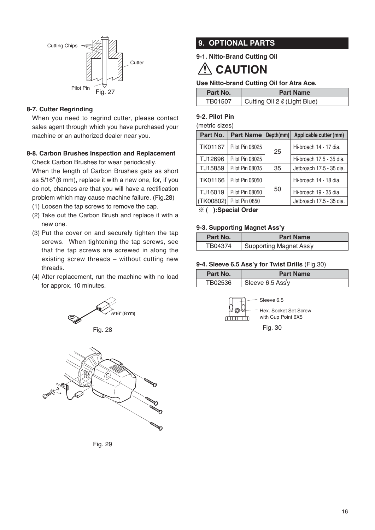

### **8-7. Cutter Regrinding**

When you need to regrind cutter, please contact sales agent through which you have purchased your machine or an authorized dealer near you.

### **8-8. Carbon Brushes Inspection and Replacement**

Check Carbon Brushes for wear periodically.

When the length of Carbon Brushes gets as short as 5/16" (8 mm), replace it with a new one, for, if you do not, chances are that you will have a rectification problem which may cause machine failure. (Fig.28)

- (1) Loosen the tap screws to remove the cap.
- (2)Take out the Carbon Brush and replace it with a new one.
- (3)Put the cover on and securely tighten the tap screws. When tightening the tap screws, see that the tap screws are screwed in along the existing screw threads – without cutting new threads.
- (4)After replacement, run the machine with no load for approx. 10 minutes.





Fig. 29

### **9. OPTIONAL PARTS**

**9-1. Nitto-Brand Cutting Oil**

#### $\sqrt{ }$ **CAUTION**

### **Use Nitto-brand Cutting Oil for Atra Ace.**

| Part No. | <b>Part Name</b>             |
|----------|------------------------------|
| TB01507  | Cutting Oil 2 & (Light Blue) |

### **9-2. Pilot Pin**

(metric sizes)

| Part No.       | <b>Part Name</b> | Depth(mm) | Applicable cutter (mm)   |
|----------------|------------------|-----------|--------------------------|
| <b>TK01167</b> | Pilot Pin 06025  | 25        | Hi-broach 14 - 17 dia.   |
| TJ12696        | Pilot Pin 08025  |           | Hi-broach 17.5 - 35 dia. |
| TJ15859        | Pilot Pin 08035  | 35        | Jetbroach 17.5 - 35 dia. |
| <b>TK01166</b> | Pilot Pin 06050  |           | Hi-broach 14 - 18 dia.   |
| TJ16019        | Pilot Pin 08050  | 50        | Hi-broach 19 - 35 dia.   |
| (TK00802)      | Pilot Pin 0850   |           | Jetbroach 17.5 - 35 dia. |

※ **( ):Special Order**

#### **9-3. Supporting Magnet Ass'y**

| Part No. | <b>Part Name</b>        |
|----------|-------------------------|
| TB04374  | Supporting Magnet Ass'y |

### **9-4. Sleeve 6.5 Ass'y for Twist Drills** (Fig.30)

| Part No. | <b>Part Name</b> |
|----------|------------------|
| TB02536  | Sleeve 6.5 Ass'y |



Fig. 30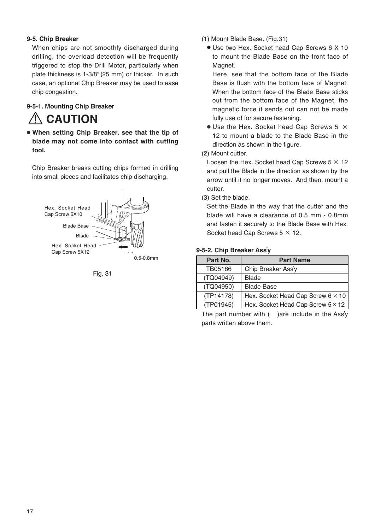### **9-5. Chip Breaker**

When chips are not smoothly discharged during drilling, the overload detection will be frequently triggered to stop the Drill Motor, particularly when plate thickness is 1-3/8" (25 mm) or thicker. In such case, an optional Chip Breaker may be used to ease chip congestion.

### **9-5-1. Mounting Chip Breaker CAUTION**

● **When setting Chip Breaker, see that the tip of blade may not come into contact with cutting tool.**

Chip Breaker breaks cutting chips formed in drilling into small pieces and facilitates chip discharging.





- (1)Mount Blade Base. (Fig.31)
	- Use two Hex. Socket head Cap Screws 6 X 10 to mount the Blade Base on the front face of Magnet.

Here, see that the bottom face of the Blade Base is flush with the bottom face of Magnet. When the bottom face of the Blade Base sticks out from the bottom face of the Magnet, the magnetic force it sends out can not be made fully use of for secure fastening.

 $\bullet$  Use the Hex. Socket head Cap Screws 5  $\times$ 12 to mount a blade to the Blade Base in the direction as shown in the figure.

### (2)Mount cutter.

Loosen the Hex. Socket head Cap Screws  $5 \times 12$ and pull the Blade in the direction as shown by the arrow until it no longer moves. And then, mount a cutter.

(3)Set the blade.

Set the Blade in the way that the cutter and the blade will have a clearance of 0.5 mm - 0.8mm and fasten it securely to the Blade Base with Hex. Socket head Cap Screws  $5 \times 12$ .

### **9-5-2. Chip Breaker Ass**'**y**

| Part No.  | <b>Part Name</b>                         |
|-----------|------------------------------------------|
| TB05186   | Chip Breaker Ass'y                       |
| (TQ04949) | <b>Blade</b>                             |
| (TQ04950) | <b>Blade Base</b>                        |
| (TP14178) | Hex. Socket Head Cap Screw $6 \times 10$ |
| (TP01945) | Hex. Socket Head Cap Screw $5 \times 12$ |

The part number with  $($  ) are include in the Ass'y parts written above them.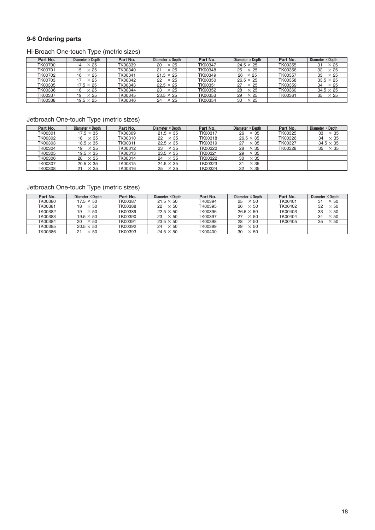### **9-6 Ordering parts**

### Hi-Broach One-touch Type (metric sizes)

| Part No.       | Diameter $\times$ Depth | Part No. | Diameter $\times$ Depth | Part No.       | Diameter $\times$ Depth | Part No.       | Diameter $\times$ Depth |
|----------------|-------------------------|----------|-------------------------|----------------|-------------------------|----------------|-------------------------|
| TK00700        | $\times 25$<br>14       | TK00339  | $\times 25$<br>20       | <b>TK00347</b> | $24.5 \times 25$        | TK00355        | 31<br>$\times 25$       |
| TK00701        | $\times 25$<br>15       | TK00340  | $\times 25$<br>21       | TK00348        | 25<br>$\times$ 25       | TK00356        | 32<br>$\times 25$       |
| <b>TK00702</b> | $\times 25$<br>16       | TK00341  | $21.5 \times 25$        | TK00349        | $26 \times 25$          | TK00357        | 33<br>$\times 25$       |
| TK00703        | $\times 25$             | TK00342  | 22<br>$\times$ 25       | TK00350        | $26.5 \times 25$        | TK00358        | $33.5 \times 25$        |
| TK00335        | $17.5 \times 25$        | TK00343  | $22.5 \times 25$        | TK00351        | 27<br>$\times 25$       | TK00359        | $\times 25$<br>34       |
| TK00336        | $\times 25$<br>18       | TK00344  | $\times 25$<br>23       | TK00352        | 28<br>$\times 25$       | <b>TK00360</b> | $34.5 \times 25$        |
| TK00337        | $\times 25$<br>19       | TK00345  | $23.5 \times 25$        | TK00353        | 29<br>$\times 25$       | TK00361        | 35<br>$\times 25$       |
| TK00338        | $19.5 \times 25$        | TK00346  | $\times 25$<br>24       | TK00354        | 30<br>$\times$ 25       |                |                         |

### Jetbroach One-touch Type (metric sizes)

| Part No.       | Diameter $\times$ Depth | Part No. | Diameter $\times$ Depth | Part No. | Diameter $\times$ Depth | Part No. | Diameter $\times$ Depth |
|----------------|-------------------------|----------|-------------------------|----------|-------------------------|----------|-------------------------|
| TK00301        | $17.5 \times 35$        | TK00309  | $21.5 \times 35$        | TK00317  | $26 \times 35$          | TK00325  | 33<br>$\times$ 35       |
| TK00302        | $\times$ 35<br>18       | TK00310  | $\times$ 35<br>22       | TK00318  | $26.5 \times 35$        | TK00326  | $\times$ 35<br>34       |
| TK00303        | $18.5 \times 35$        | TK00311  | $22.5 \times 35$        | TK00319  | $27 \times 35$          | TK00327  | $34.5 \times 35$        |
| TK00304        | $\times$ 35<br>19       | TK00312  | $\times$ 35<br>23       | TK00320  | 28<br>$\times$ 35       | TK00328  | $35 \times 35$          |
| TK00305        | $19.5 \times 35$        | TK00313  | $23.5 \times 35$        | TK00321  | $29 \times 35$          |          |                         |
| TK00306        | $\times$ 35<br>20       | TK00314  | $\times$ 35<br>24       | TK00322  | $\times$ 35<br>30       |          |                         |
| <b>TK00307</b> | $20.5 \times 35$        | TK00315  | $24.5 \times 35$        | TK00323  | $\times$ 35<br>31       |          |                         |
| <b>TK00308</b> | $\times$ 35<br>21       | TK00316  | $25 \times 35$          | TK00324  | $32 \times 35$          |          |                         |

### Jetbroach One-touch Type (metric sizes)

| Part No.       | Diameter $\times$ Depth | Part No. | Diameter $\times$ Depth | Part No. | Diameter $\times$ Depth | Part No. | Diameter $\times$ Depth |
|----------------|-------------------------|----------|-------------------------|----------|-------------------------|----------|-------------------------|
| TK00380        | $17.5 \times 50$        | TK00387  | $21.5 \times 50$        | TK00394  | 25<br>$\times$ 50       | TK00401  | $\times$ 50<br>31       |
| TK00381        | $\times$ 50<br>18       | TK00388  | $\times$ 50<br>22       | TK00395  | 26<br>$\times$ 50       | TK00402  | 32<br>$\times$ 50       |
| TK00382        | $\times$ 50<br>19       | TK00389  | $22.5 \times 50$        | TK00396  | $26.5 \times 50$        | TK00403  | 33<br>$\times$ 50       |
| TK00383        | $19.5 \times 50$        | TK00390  | $\times$ 50<br>23       | TK00397  | 27<br>$\times$ 50       | TK00404  | $\times 50$<br>34       |
| TK00384        | 20<br>$\times$ 50       | TK00391  | $23.5 \times 50$        | TK00398  | 28<br>$\times$ 50       | TK00405  | $\times 50$<br>35       |
| TK00385        | $20.5 \times 50$        | TK00392  | $\times$ 50<br>24       | TK00399  | 29<br>$\times$ 50       |          |                         |
| <b>TK00386</b> | $\times$ 50             | TK00393  | $24.5 \times 50$        | TK00400  | 30<br>$\times$ 50       |          |                         |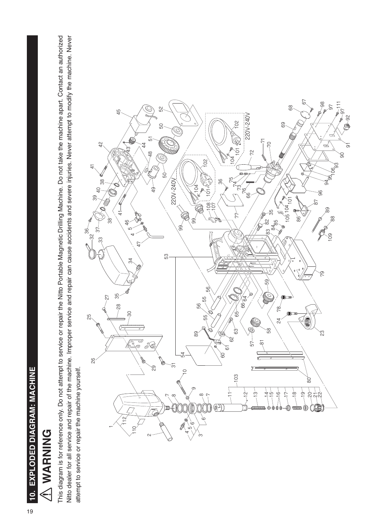# A WARNING **WARNING**

This diagram is for reference only. Do not attempt to service or repair the Nitto Portable Magnetic Drilling Machine. Do not take the machine apart. Contact an authorized This diagram is for reference only. Do not attempt to service or repair the Nitto Portable Magnetic Drilling Machine. Do not take the machine apart. Contact an authorized Nitto dealer for all service and repair of the machine. Improper service and repair can cause accidents and severe injuries. Never attempt to modify the machine. Never Nitto dealer for all service and repair of the machine. Improper service and repair can cause accidents and severe injuries. Never attempt to modify the machine. Never attempt to service or repair the machine yourself. attempt to service or repair the machine yourself.

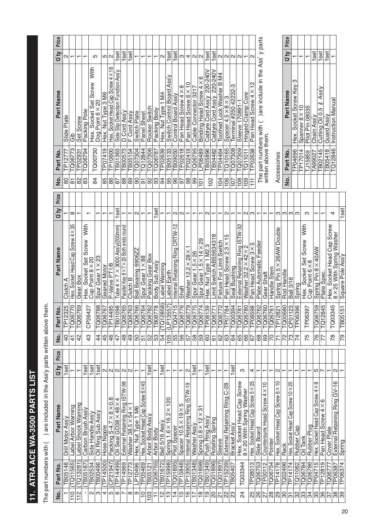# 11. ATRA ACE WA-3500 PARTS LIST **11. ATRA ACE WA-3500 PARTS LIST**

The part numbers with ( ) are included in the Ass'y parts written above them. The part numbers with ( ) are included in the Ass'y parts written above them.

| <u>o</u><br>Z                 | Part No.           | Part Name                                               | Ο'ty                        | Price | ġ               | <u>o</u><br>Part         | Part Name                                      | ΩŔ                | Price | g                | Part No.            | Part Name                                                | Q ty                     | Price |
|-------------------------------|--------------------|---------------------------------------------------------|-----------------------------|-------|-----------------|--------------------------|------------------------------------------------|-------------------|-------|------------------|---------------------|----------------------------------------------------------|--------------------------|-------|
|                               | <b>TB05148</b>     | Drill Motor Ass                                         | set                         |       | $\frac{1}{2}$   | TP12325                  | Clutch A                                       |                   |       | 80               | TPI2777             | Slide Plate                                              | N                        |       |
| $\frac{0}{11}$                | (TQ11565)          | Label Arbor Warning                                     |                             |       | $\frac{1}{4}$   | 1770<br>TQ06             | Hex. Socket Head Cap Screw 4×35                | ∞                 |       | 81               | TQ06773             | م<br>ق                                                   |                          |       |
| 112                           | TQ13281            | Label Shock Warning                                     |                             |       | 42              | <b>TQ06769</b>           | Gear Box                                       |                   |       | 8 <sup>2</sup>   | TP02931             | Set Screw                                                |                          |       |
| J,                            | TB05187            | Carbon Brush Ass'y                                      | <b>set</b>                  |       | $\frac{3}{4}$   | 1242<br>CP <sub>26</sub> | With<br>Screw<br>Set<br>Socket<br>Hex.         | ┯                 |       | 83               | TQ06794             | Packing Pole                                             |                          |       |
| S<br>N                        | TB02534<br>TB00496 | Oil Ring Sub Ass'y<br>Side Handle Ass'y                 | set<br>\$                   |       | 44              | TQ06788                  | Spur Gear 1 × 23<br>Cup Point 8 × 20           |                   |       | $\frac{8}{4}$    | TQ00730             | With<br>Hex. Socket Set Screw<br>Dog Point 6 × 20        | ပ                        |       |
|                               | (TP14500)          |                                                         |                             |       |                 | TQ06767                  |                                                |                   |       |                  | TP07419             |                                                          |                          |       |
| 4<br>5                        | (CP21947)          | Packing S-4.7 × 8 × 0.8<br>Hose Nipple                  | N<br>$\sim$                 |       | 45<br>46        | TP14495                  | P-Valve PT1/8<br>Geared Motor                  |                   |       | 86<br>85         | <b>TP10600</b>      | Hex. Socket Head Cap Screw 4 × 18<br>Hex. Nut Type 3 M6  | ഥ വ                      |       |
|                               | (TP14499)          | Oil Seal GD38 $\times$ 48 $\times$ 4                    |                             |       | 47              | <b>TB01098</b>           | Tube $4 \times 7 \times 3000$ Ass y(200mm)     |                   |       | 28               | TB01363             | Side Slip Detection Function Ass'y                       | set                      |       |
| စ<br>$\overline{\phantom{0}}$ | TP14969            | External Retaining Ring ISTW-38                         | $\sim$<br>$\mathbf{\Omega}$ |       | 48              | TQ06765                  | Parallel Key 8 × 7 × 20 Both ends round        | 1set<br>↽         |       | 88               | TB00573             | D Cord Ass'y                                             | 1set                     |       |
| ∞                             | TP12773            | Washer 38.5 × 54 ×                                      | $\sim$                      |       | $\frac{9}{4}$   | <b>TQ06763</b>           | Clutch B                                       | ↽                 |       |                  | TB05154             | F Cord Ass'y                                             | <b>iss</b>               |       |
| თ                             | LP10496            | Hex. Nut Type 1 M6                                      |                             |       | 50              | <b>TQ06766</b>           | Ball Bearing 6906ZZ                            | $\sim$            |       | $\frac{8}{8}$    | TQ07304             | Switch Plate                                             |                          |       |
| $\frac{1}{2}$                 | TP05469            | Hex. Socket Head Cap Screw 6×45                         |                             |       | 51              | TQ06764                  | Spur Gear 1 × 88                               |                   |       | $\overline{5}$   | TQ12844             | Panel Sheet                                              | $\overline{\phantom{0}}$ |       |
| 103                           | TB05121            | Arbor Body Ass'y                                        | <b>Set</b>                  |       | 52              | TQ06782                  | Packing Gear Box                               |                   |       | 92               | TQ07306             | Rocker Switch                                            | ↽                        |       |
| F                             | TQ06755)           | Arbor Body                                              |                             |       | ြို့            | <b>TB08778</b>           | Body Sub Ass'y                                 | <b>set</b>        |       | 3                | TQ06787             | Packing Body                                             |                          |       |
| $\frac{1}{2}$                 | (TB01672)          | Ball 5/16 Ass <sup>1</sup>                              | set                         |       | 54              | (TQ12858)                | Label Warning                                  |                   |       | $\overline{5}$   | TP02639             | 1 M4<br>Hex. Nut Type                                    | Ν                        |       |
| $\frac{1}{2}$                 | (TP15998)          | $2 \times 120$<br>Spring $1.6 \times 16$ .              |                             |       | 105             | (LP13557)                | Label Earth                                    |                   |       | 95               | <b>TB05133</b>      | Assy<br>Switch Control Board                             | set                      |       |
| $\overline{4}$                | TQ01895)           | <b>Pilot Spacer</b>                                     | $\mathbf{\tau}$             |       | 55              | TQ04715                  | Internal Retaining Ring CRTW-12                | $\sim$            |       | န္တ              | TB09050             | Control Board Ass'y                                      | set                      |       |
| $\frac{5}{1}$                 | (TP15848)          | Spacer $10.5 \times 19 \times 5$                        | ↽                           |       | န္တ             | ,776<br>TQ06             | Shaft                                          | $\mathbf{\alpha}$ |       | 56               | TP02618             | $^\infty$<br>Pan Head Screw 4X                           | ω                        |       |
| $\frac{6}{5}$                 | (TP13905)          | Internal Retaining Ring ISTW-19                         | 2                           |       | 57              | TQ06779                  | Washer $12.2 \times 28 \times 1$               |                   |       | 86               | TP02419             | Pan Head Screw 6 × 10                                    | 4                        |       |
| $\overline{1}$                | TB01348)           | Washer Ass'y                                            | set                         |       | 58              | TQ06775                  | Spur Gear 1.5 × 26                             | ┯                 |       | 8                | TQ06795             | Cable Connector 3217                                     | $\sim$                   |       |
| $\frac{8}{1}$                 | TQ01898)           | 75<br>Spring $0.8 \times 12 \times$                     |                             |       | ခြ              | $\overline{574}$<br>TQ06 | 89<br>Spur Gear 1.5 × 14 ×                     |                   |       | $\overline{C}$   | LP08489             | ဖ<br>Binding Head Screw 4 X                              | $\mathbf{\Omega}$        |       |
| $\frac{0}{1}$                 | (7801349)          | Push Ring Ass'y                                         | set<br>$\mathbf -$          |       | ၆၁              | TP08139                  | Hex. Nut Type 1 M2.                            | N                 |       | 102              | <b>TB05896</b>      | Cabtyre Cord Ass'y 220-240V                              | set                      |       |
| ႙                             | (TQO1896)          | Rotating Spring                                         |                             |       | 61              | TQ06771                  | Limit Switch ABS5634318                        |                   |       |                  | TB04482             | Cabtyre Cord Assy 220-240V                               | set                      |       |
| $\overline{\mathcal{S}}$      | TQ01897            | Sleeve                                                  | ↽                           |       | $\mathcal{S}^2$ | TQ06772                  | Fixture For Limit Switch                       | $\mathbf{\tau}$   |       | 104              | TP04464             | Toothed Lock Washer B M4                                 |                          |       |
| 22                            | (TP15239)          | $C-28$<br>External Retaining Ring                       |                             |       | 63              | TP07784                  | Pan Head Screw 2.3 × 15                        | $\mathbf{C}$      |       | 106              | <b>TQ10165</b>      | Spacer $4.5 \times 8 \times 3$                           | $\sim$                   |       |
| 23                            | TB05407            | Bracket Assy                                            | set                         |       | 64              | TQ00394                  | Seal Bushing                                   |                   |       | $\overline{107}$ | <b>LC07308</b>      | Terminal #250 42232-3                                    | $\sim$                   |       |
| 24                            | TQ03344            | Hex. Socket Head Cap Screw<br>8 × 20 With Spring Washer | ო                           |       | 65              | TQ06781                  | External Retaining Ring ISTW-32                |                   |       | 108              | <b>CQ07309</b>      | Sleeve 170891-1                                          | $\sim$                   |       |
|                               |                    |                                                         |                             |       | 89              | TQ06780                  | Washer 32.2 $\times$ 42 $\times$ 2             | N                 |       | 109              | TQ11011             | Hinged-Clamp Core                                        |                          |       |
| 85                            | TP08013            | Hex. Socket Head Cap Screw 5 × 25                       | 4                           |       | 67              | <b>TP08598</b>           | Pan Head Screw 3 × 5                           | ო                 |       | $\overline{11}$  | TP02638             | $\frac{1}{2}$<br>Pan Head Screw 4X                       | $\mathbf{\Omega}$        |       |
| 26                            | TQ06753            | Slide Board                                             | ᠇                           |       | 68              | <b>TQ06762</b>           | Plate Automatic Feeder                         |                   |       |                  |                     | The part numbers with ( )are include in the Ass' y parts |                          |       |
| 27                            | <b>TP00112</b>     | Countersunk Head Screw 4 × 10                           |                             |       | 69              | <b>TQ06760</b>           | Gear Shaft                                     | ┯                 |       |                  | written above them. |                                                          |                          |       |
| $\frac{8}{2}$                 | TQ06754            | Pointer                                                 |                             |       | 70              | TQ06761                  | Handle Stem                                    |                   |       |                  |                     |                                                          |                          |       |
| ခြွ                           | TP14178            | Hex. Socket Head Cap Screw 6 × 10                       | Ν                           |       | $\overline{7}$  | TP12821                  | Spring Pin 5 × 26AW Double                     | ω                 |       |                  | Accessories         |                                                          |                          |       |
| 80                            | TQ02496            | Rack                                                    |                             |       | 72              | TQ00680                  | Rod Handle                                     | S                 |       | <u>ş</u>         | Part No.            | Part Name                                                | ΟΉ                       | Price |
| $\overline{5}$                | TP14174            | Hex. Socket Head Cap Screw 10 × 25                      |                             |       | 73              | CP01123                  | <b>Ball 3/16</b>                               | က $ \infty$       |       |                  | <b>TP04696</b>      | ო<br>Hex. Socket Screw Key                               |                          |       |
| 32                            | <b>TQ11062</b>     | Rubber Cap                                              |                             |       | 74              | <b>TP06396</b>           | Spring                                         |                   |       |                  | TP17014             |                                                          |                          |       |
| 33                            | TQ06784            | Oil Tank                                                |                             |       | 75              | TP06397                  | With<br>Hex. Socket Set Screw<br>Cup Point 6×8 | က                 |       |                  |                     | $\frac{1}{2}$<br>Spanner 8 ×                             |                          |       |
| 34                            | TQ06786            | Rubber Plug                                             |                             |       |                 |                          |                                                |                   |       |                  | TJ15859             | Pilot Pin 08035                                          |                          |       |
| 35                            | <b>TP04715</b>     | Hex. Socket Head Cap Screw 4 × 8                        | 5                           |       | 76              | TQ06759                  | Spring Pin 8 × 40AW                            |                   |       |                  | TA99027             | Chain Assy                                               | 1set                     |       |
| 36                            | TP12819            | Pan Head Screw 4 × 6                                    |                             |       | 77              | 845<br>TQ <sub>12</sub>  | Plate Spec.                                    |                   |       |                  | TB02145             | Assy<br>$\!\! \! \infty$<br>5<br>Cutting Oil 0.          | set                      |       |
| $\overline{\mathcal{E}}$      | TQ06777            | Cover Plate                                             | ↽                           |       |                 |                          | Screw<br>Cap:<br>Hex. Socket Head              |                   |       |                  | TB05418             | Guard Assy                                               | set                      |       |
| 38                            | TP06387            | External Retaining Ring GV-16                           | Ν                           |       | $\frac{8}{1}$   | 345<br>TQ03              | 8 $\times$ 25 With Spring Washer               | 4                 |       |                  | TQ12846             | <b>Instruction Manual</b>                                |                          |       |
| 89                            | TP06374            | Spring                                                  | ↽                           |       | 79              | TB05151                  | Square Pole Ass'y                              | 1set              |       |                  |                     |                                                          |                          |       |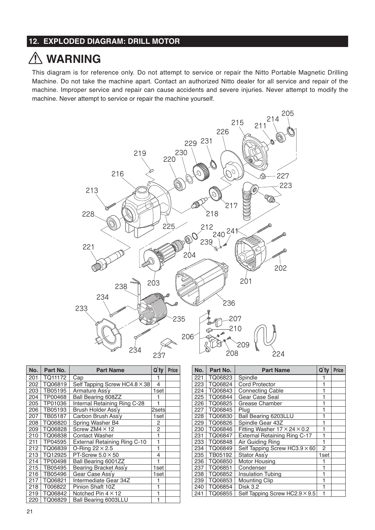### **12. EXPLODED DIAGRAM: DRILL MOTOR**

### **WARNING**

This diagram is for reference only. Do not attempt to service or repair the Nitto Portable Magnetic Drilling Machine. Do not take the machine apart. Contact an authorized Nitto dealer for all service and repair of the machine. Improper service and repair can cause accidents and severe injuries. Never attempt to modify the machine. Never attempt to service or repair the machine yourself.



| No. | Part No. | <b>Part Name</b>                    | $Q'$ ty | <b>Price</b> |
|-----|----------|-------------------------------------|---------|--------------|
| 201 | TQ11172  | Cap                                 | 1       |              |
| 202 | TQ06819  | Self Tapping Screw HC4.8 × 38       | 4       |              |
| 203 | TB05195  | Armature Ass'v                      | 1set    |              |
| 204 | TP00468  | <b>Ball Bearing 608ZZ</b>           |         |              |
| 205 | TP01036  | Internal Retaining Ring C-28        | 1       |              |
| 206 | TB05193  | Brush Holder Ass'v                  | 2setsl  |              |
| 207 | TB05187  | Carbon Brush Ass'v                  | 1set    |              |
| 208 | TQ06820  | Spring Washer B4                    | 2       |              |
| 209 | TQ06828  | Screw ZM4 $\times$ 12               | 2       |              |
| 210 | TQ06838  | Contact Washer                      | 1       |              |
| 211 | TP04595  | <b>External Retaining Ring C-10</b> | 1       |              |
| 212 | TQ06839  | O-Ring $22 \times 2.5$              | 1       |              |
| 213 | TQ12925  | PT-Screw $5.0 \times 50$            | 4       |              |
| 214 | TP00498  | Ball Bearing 6001ZZ                 | 1       |              |
| 215 | TB05495  | Bearing Bracket Ass'y               | 1set    |              |
| 216 | TB05496  | Gear Case Ass'v                     | 1set    |              |
| 217 | TQ06821  | Intermediate Gear 34Z               |         |              |
| 218 | T006822  | Pinion Shaft 10Z                    | 1       |              |
| 219 | TQ06842  | Notched Pin $4 \times 12$           | 1       |              |
| 220 | TQ06829  | Ball Bearing 6003LLU                | 1       |              |

| No. | Part No. | <b>Part Name</b>                         | Q'ty | <b>Price</b> |
|-----|----------|------------------------------------------|------|--------------|
| 221 | TQ06823  | Spindle                                  |      |              |
| 223 | TQ06824  | <b>Cord Protector</b>                    |      |              |
| 224 | TQ06843  | <b>Connecting Cable</b>                  |      |              |
| 225 | TQ06844  | Gear Case Seal                           | 1    |              |
| 226 | TQ06825  | Grease Chamber                           | 1    |              |
| 227 | TQ06845  | Plug                                     |      |              |
| 228 | TQ06830  | <b>Ball Bearing 6203LLU</b>              | 1    |              |
| 229 | TQ06826  | Spindle Gear 43Z                         | 1    |              |
| 230 | TQ06846  | Fitting Washer $17 \times 24 \times 0.2$ | 1    |              |
| 231 | TQ06847  | <b>External Retaining Ring C-17</b>      | 1    |              |
| 233 | TQ06848  | Air Guiding Ring                         | 1    |              |
| 234 | TQ06849  | Self Tapping Screw HC3.9 $\times$ 60     | 2    |              |
| 235 | TB05192  | Stator Ass'y                             | 1set |              |
| 236 | TQ06850  | Motor Housing                            |      |              |
| 237 | TQ06851  | Condenser                                |      |              |
| 238 | TQ06852  | <b>Insulation Tubing</b>                 |      |              |
| 239 | TQ06853  | <b>Mounting Clip</b>                     | 1    |              |
| 240 | TQ06854  | <b>Disk 3.2</b>                          | 1    |              |
| 241 | TQ06855  | Self Tapping Screw HC2.9 $\times$ 9.5    | 1    |              |